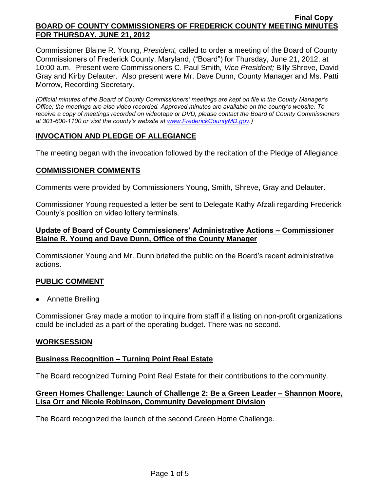Commissioner Blaine R. Young, *President*, called to order a meeting of the Board of County Commissioners of Frederick County, Maryland, ("Board") for Thursday, June 21, 2012, at 10:00 a.m. Present were Commissioners C. Paul Smith*, Vice President;* Billy Shreve, David Gray and Kirby Delauter. Also present were Mr. Dave Dunn, County Manager and Ms. Patti Morrow, Recording Secretary.

*(Official minutes of the Board of County Commissioners' meetings are kept on file in the County Manager's Office; the meetings are also video recorded. Approved minutes are available on the county's website. To receive a copy of meetings recorded on videotape or DVD, please contact the Board of County Commissioners at 301-600-1100 or visit the county's website at [www.FrederickCountyMD.gov.](http://www.frederickcountymd.gov/))*

# **INVOCATION AND PLEDGE OF ALLEGIANCE**

The meeting began with the invocation followed by the recitation of the Pledge of Allegiance.

## **COMMISSIONER COMMENTS**

Comments were provided by Commissioners Young, Smith, Shreve, Gray and Delauter.

Commissioner Young requested a letter be sent to Delegate Kathy Afzali regarding Frederick County's position on video lottery terminals.

## **Update of Board of County Commissioners' Administrative Actions – Commissioner Blaine R. Young and Dave Dunn, Office of the County Manager**

Commissioner Young and Mr. Dunn briefed the public on the Board's recent administrative actions.

# **PUBLIC COMMENT**

• Annette Breiling

Commissioner Gray made a motion to inquire from staff if a listing on non-profit organizations could be included as a part of the operating budget. There was no second.

## **WORKSESSION**

## **Business Recognition – Turning Point Real Estate**

The Board recognized Turning Point Real Estate for their contributions to the community.

## **Green Homes Challenge: Launch of Challenge 2: Be a Green Leader – Shannon Moore, Lisa Orr and Nicole Robinson, Community Development Division**

The Board recognized the launch of the second Green Home Challenge.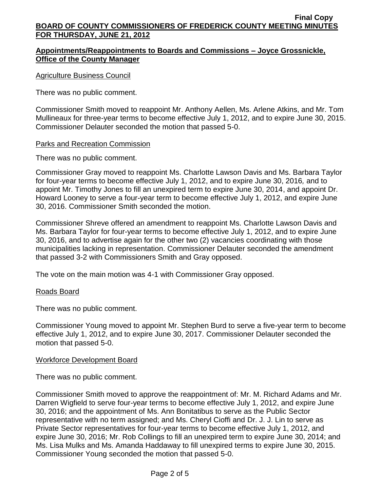# **Appointments/Reappointments to Boards and Commissions – Joyce Grossnickle, Office of the County Manager**

### Agriculture Business Council

There was no public comment.

Commissioner Smith moved to reappoint Mr. Anthony Aellen, Ms. Arlene Atkins, and Mr. Tom Mullineaux for three-year terms to become effective July 1, 2012, and to expire June 30, 2015. Commissioner Delauter seconded the motion that passed 5-0.

### Parks and Recreation Commission

There was no public comment.

Commissioner Gray moved to reappoint Ms. Charlotte Lawson Davis and Ms. Barbara Taylor for four-year terms to become effective July 1, 2012, and to expire June 30, 2016*,* and to appoint Mr. Timothy Jones to fill an unexpired term to expire June 30, 2014, and appoint Dr. Howard Looney to serve a four-year term to become effective July 1, 2012, and expire June 30, 2016. Commissioner Smith seconded the motion.

Commissioner Shreve offered an amendment to reappoint Ms. Charlotte Lawson Davis and Ms. Barbara Taylor for four-year terms to become effective July 1, 2012, and to expire June 30, 2016, and to advertise again for the other two (2) vacancies coordinating with those municipalities lacking in representation. Commissioner Delauter seconded the amendment that passed 3-2 with Commissioners Smith and Gray opposed.

The vote on the main motion was 4-1 with Commissioner Gray opposed.

## Roads Board

There was no public comment.

Commissioner Young moved to appoint Mr. Stephen Burd to serve a five-year term to become effective July 1, 2012, and to expire June 30, 2017. Commissioner Delauter seconded the motion that passed 5-0.

## Workforce Development Board

There was no public comment.

Commissioner Smith moved to approve the reappointment of: Mr. M. Richard Adams and Mr. Darren Wigfield to serve four-year terms to become effective July 1, 2012, and expire June 30, 2016; and the appointment of Ms. Ann Bonitatibus to serve as the Public Sector representative with no term assigned; and Ms. Cheryl Cioffi and Dr. J. J. Lin to serve as Private Sector representatives for four-year terms to become effective July 1, 2012, and expire June 30, 2016; Mr. Rob Collings to fill an unexpired term to expire June 30, 2014; and Ms. Lisa Mulks and Ms. Amanda Haddaway to fill unexpired terms to expire June 30, 2015. Commissioner Young seconded the motion that passed 5-0.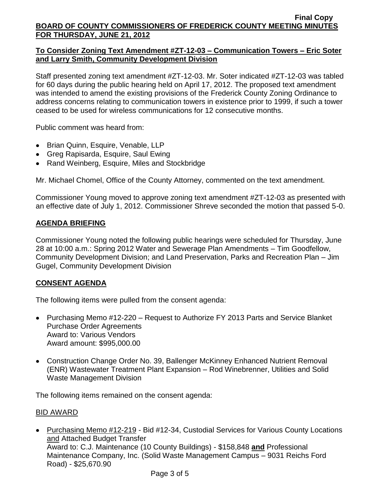# **To Consider Zoning Text Amendment #ZT-12-03 – Communication Towers – Eric Soter and Larry Smith, Community Development Division**

Staff presented zoning text amendment #ZT-12-03. Mr. Soter indicated #ZT-12-03 was tabled for 60 days during the public hearing held on April 17, 2012. The proposed text amendment was intended to amend the existing provisions of the Frederick County Zoning Ordinance to address concerns relating to communication towers in existence prior to 1999, if such a tower ceased to be used for wireless communications for 12 consecutive months.

Public comment was heard from:

- Brian Quinn, Esquire, Venable, LLP
- Greg Rapisarda, Esquire, Saul Ewing
- Rand Weinberg, Esquire, Miles and Stockbridge

Mr. Michael Chomel, Office of the County Attorney, commented on the text amendment.

Commissioner Young moved to approve zoning text amendment #ZT-12-03 as presented with an effective date of July 1, 2012. Commissioner Shreve seconded the motion that passed 5-0.

# **AGENDA BRIEFING**

Commissioner Young noted the following public hearings were scheduled for Thursday, June 28 at 10:00 a.m.: Spring 2012 Water and Sewerage Plan Amendments – Tim Goodfellow, Community Development Division; and Land Preservation, Parks and Recreation Plan – Jim Gugel, Community Development Division

# **CONSENT AGENDA**

The following items were pulled from the consent agenda:

- Purchasing Memo #12-220 Request to Authorize FY 2013 Parts and Service Blanket Purchase Order Agreements Award to: Various Vendors Award amount: \$995,000.00
- Construction Change Order No. 39, Ballenger McKinney Enhanced Nutrient Removal (ENR) Wastewater Treatment Plant Expansion – Rod Winebrenner, Utilities and Solid Waste Management Division

The following items remained on the consent agenda:

# BID AWARD

Purchasing Memo #12-219 - Bid #12-34, Custodial Services for Various County Locations and Attached Budget Transfer Award to: C.J. Maintenance (10 County Buildings) - \$158,848 **and** Professional Maintenance Company, Inc. (Solid Waste Management Campus – 9031 Reichs Ford Road) - \$25,670.90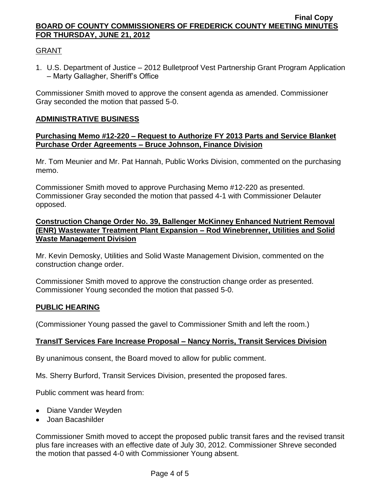# GRANT

1. U.S. Department of Justice – 2012 Bulletproof Vest Partnership Grant Program Application – Marty Gallagher, Sheriff's Office

Commissioner Smith moved to approve the consent agenda as amended. Commissioner Gray seconded the motion that passed 5-0.

## **ADMINISTRATIVE BUSINESS**

### **Purchasing Memo #12-220 – Request to Authorize FY 2013 Parts and Service Blanket Purchase Order Agreements – Bruce Johnson, Finance Division**

Mr. Tom Meunier and Mr. Pat Hannah, Public Works Division, commented on the purchasing memo.

Commissioner Smith moved to approve Purchasing Memo #12-220 as presented. Commissioner Gray seconded the motion that passed 4-1 with Commissioner Delauter opposed.

## **Construction Change Order No. 39, Ballenger McKinney Enhanced Nutrient Removal (ENR) Wastewater Treatment Plant Expansion – Rod Winebrenner, Utilities and Solid Waste Management Division**

Mr. Kevin Demosky, Utilities and Solid Waste Management Division, commented on the construction change order.

Commissioner Smith moved to approve the construction change order as presented. Commissioner Young seconded the motion that passed 5-0.

## **PUBLIC HEARING**

(Commissioner Young passed the gavel to Commissioner Smith and left the room.)

## **TransIT Services Fare Increase Proposal – Nancy Norris, Transit Services Division**

By unanimous consent, the Board moved to allow for public comment.

Ms. Sherry Burford, Transit Services Division, presented the proposed fares.

Public comment was heard from:

- Diane Vander Weyden
- Joan Bacashilder

Commissioner Smith moved to accept the proposed public transit fares and the revised transit plus fare increases with an effective date of July 30, 2012. Commissioner Shreve seconded the motion that passed 4-0 with Commissioner Young absent.